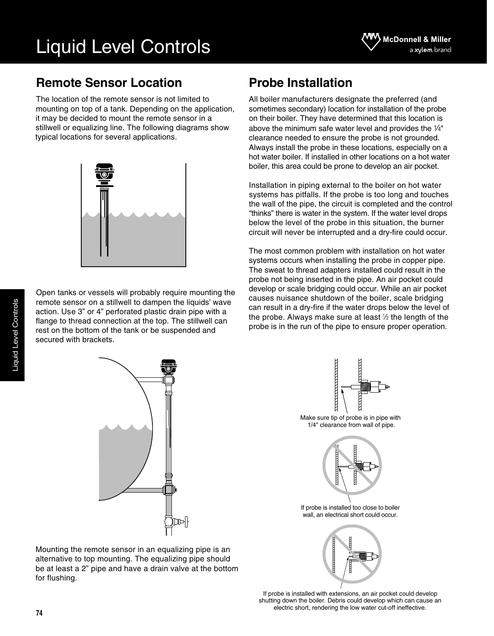## **Remote Sensor Location**

The location of the remote sensor is not limited to mounting on top of a tank. Depending on the application, it may be decided to mount the remote sensor in a stillwell or equalizing line. The following diagrams show typical locations for several applications.



Open tanks or vessels will probably require mounting the remote sensor on a stillwell to dampen the liquids' wave action. Use 3" or 4" perforated plastic drain pipe with a flange to thread connection at the top. The stillwell can rest on the bottom of the tank or be suspended and secured with brackets.

# **Probe Installation**

All boiler manufacturers designate the preferred (and sometimes secondary) location for installation of the probe on their boiler. They have determined that this location is above the minimum safe water level and provides the  $\frac{1}{4}$ " clearance needed to ensure the probe is not grounded. Always install the probe in these locations, especially on a hot water boiler. If installed in other locations on a hot water boiler, this area could be prone to develop an air pocket.

Installation in piping external to the boiler on hot water systems has pitfalls. If the probe is too long and touches the wall of the pipe, the circuit is completed and the control "thinks" there is water in the system. If the water level drops below the level of the probe in this situation, the burner circuit will never be interrupted and a dry-fire could occur.

The most common problem with installation on hot water systems occurs when installing the probe in copper pipe. The sweat to thread adapters installed could result in the probe not being inserted in the pipe. An air pocket could develop or scale bridging could occur. While an air pocket causes nuisance shutdown of the boiler, scale bridging can result in a dry-fire if the water drops below the level of the probe. Always make sure at least  $\frac{1}{2}$  the length of the probe is in the run of the pipe to ensure proper operation.



Mounting the remote sensor in an equalizing pipe is an alternative to top mounting. The equalizing pipe should be at least a 2" pipe and have a drain valve at the bottom for flushing.



Make sure tip of probe is in pipe with 1/4" clearance from wall of pipe.



If probe is installed too close to boiler wall, an electrical short could occur.



If probe is installed with extensions, an air pocket could develop shutting down the boiler. Debris could develop which can cause an electric short, rendering the low water cut-off ineffective.